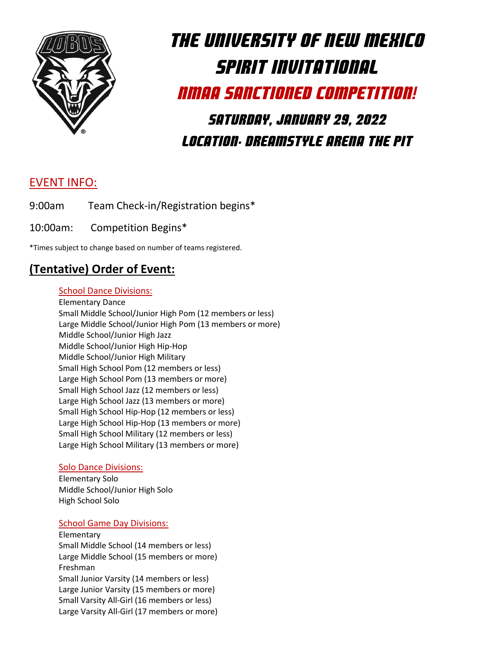

# THE UNIVERSITY OF NEW MEXICO Spirit Invitational NMAA SANCTIONED COMPETITION! Saturday, January 29, 2022 Location- Dreamstyle arena the pit

#### EVENT INFO:

9:00am Team Check-in/Registration begins\*

10:00am: Competition Begins\*

\*Times subject to change based on number of teams registered.

#### **(Tentative) Order of Event:**

#### School Dance Divisions:

Elementary Dance Small Middle School/Junior High Pom (12 members or less) Large Middle School/Junior High Pom (13 members or more) Middle School/Junior High Jazz Middle School/Junior High Hip-Hop Middle School/Junior High Military Small High School Pom (12 members or less) Large High School Pom (13 members or more) Small High School Jazz (12 members or less) Large High School Jazz (13 members or more) Small High School Hip-Hop (12 members or less) Large High School Hip-Hop (13 members or more) Small High School Military (12 members or less) Large High School Military (13 members or more)

#### Solo Dance Divisions:

Elementary Solo Middle School/Junior High Solo High School Solo

#### School Game Day Divisions:

Elementary Small Middle School (14 members or less) Large Middle School (15 members or more) Freshman Small Junior Varsity (14 members or less) Large Junior Varsity (15 members or more) Small Varsity All-Girl (16 members or less) Large Varsity All-Girl (17 members or more)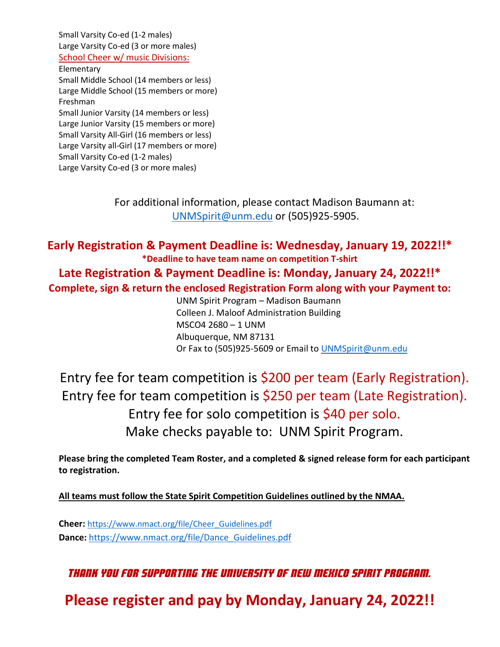Small Varsity Co-ed (1-2 males) Large Varsity Co-ed (3 or more males) School Cheer w/ music Divisions: Elementary Small Middle School (14 members or less) Large Middle School (15 members or more) Freshman Small Junior Varsity (14 members or less) Large Junior Varsity (15 members or more) Small Varsity All-Girl (16 members or less) Large Varsity all-Girl (17 members or more) Small Varsity Co-ed (1-2 males) Large Varsity Co-ed (3 or more males)

> For additional information, please contact Madison Baumann at: [UNMSpirit@unm.edu](mailto:UNMSpirit@unm.edu) or (505)925-5905.

**Early Registration & Payment Deadline is: Wednesday, January 19, 2022!!\* \*Deadline to have team name on competition T-shirt Late Registration & Payment Deadline is: Monday, January 24, 2022!!\* Complete, sign & return the enclosed Registration Form along with your Payment to:**

UNM Spirit Program – Madison Baumann Colleen J. Maloof Administration Building MSCO4 2680 – 1 UNM Albuquerque, NM 87131 Or Fax to (505)925-5609 or Email to [UNMSpirit@unm.edu](mailto:UNMSpirit@unm.edu)

Entry fee for team competition is \$200 per team (Early Registration). Entry fee for team competition is \$250 per team (Late Registration). Entry fee for solo competition is \$40 per solo. Make checks payable to: UNM Spirit Program.

**Please bring the completed Team Roster, and a completed & signed release form for each participant to registration.** 

**All teams must follow the State Spirit Competition Guidelines outlined by the NMAA.** 

**Cheer:** [https://www.nmact.org/file/Cheer\\_Guidelines.pdf](https://www.nmact.org/file/Cheer_Guidelines.pdf) **Dance:** [https://www.nmact.org/file/Dance\\_Guidelines.pdf](https://www.nmact.org/file/Dance_Guidelines.pdf)

Thank you for supporting the University of New Mexico Spirit Program.

**Please register and pay by Monday, January 24, 2022!!**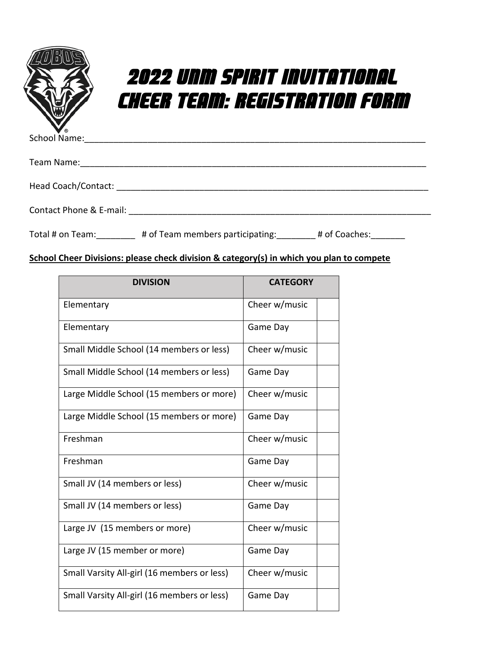

# 2022 UNM Spirit Invitational CHEER TEAM: Registration Form

School Name:\_\_\_\_\_\_\_\_\_\_\_\_\_\_\_\_\_\_\_\_\_\_\_\_\_\_\_\_\_\_\_\_\_\_\_\_\_\_\_\_\_\_\_\_\_\_\_\_\_\_\_\_\_\_\_\_\_\_\_\_\_\_\_\_\_\_\_\_\_\_

| Team Name:              |  |
|-------------------------|--|
| Head Coach/Contact:     |  |
| Contact Phone & E-mail: |  |

Total # on Team: <br> $\#$  of Team members participating:  $\#$  of Coaches:

#### **School Cheer Divisions: please check division & category(s) in which you plan to compete**

| <b>DIVISION</b>                             | <b>CATEGORY</b> |
|---------------------------------------------|-----------------|
| Elementary                                  | Cheer w/music   |
| Elementary                                  | Game Day        |
| Small Middle School (14 members or less)    | Cheer w/music   |
| Small Middle School (14 members or less)    | Game Day        |
| Large Middle School (15 members or more)    | Cheer w/music   |
| Large Middle School (15 members or more)    | Game Day        |
| Freshman                                    | Cheer w/music   |
| Freshman                                    | Game Day        |
| Small JV (14 members or less)               | Cheer w/music   |
| Small JV (14 members or less)               | Game Day        |
| Large JV (15 members or more)               | Cheer w/music   |
| Large JV (15 member or more)                | Game Day        |
| Small Varsity All-girl (16 members or less) | Cheer w/music   |
| Small Varsity All-girl (16 members or less) | Game Day        |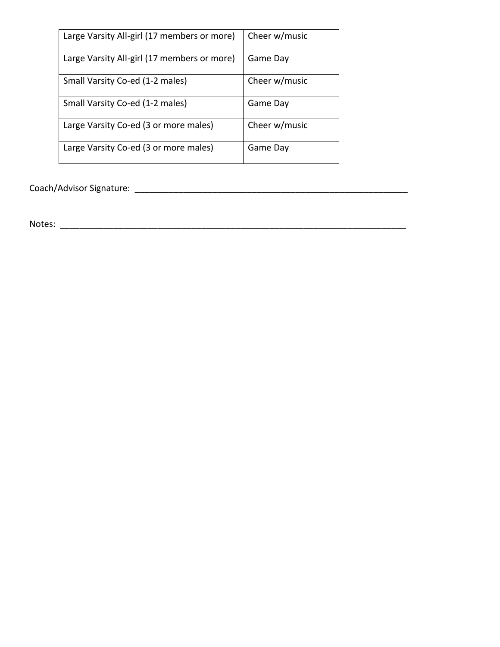| Large Varsity All-girl (17 members or more) | Cheer w/music |
|---------------------------------------------|---------------|
| Large Varsity All-girl (17 members or more) | Game Day      |
| Small Varsity Co-ed (1-2 males)             | Cheer w/music |
| Small Varsity Co-ed (1-2 males)             | Game Day      |
| Large Varsity Co-ed (3 or more males)       | Cheer w/music |
| Large Varsity Co-ed (3 or more males)       | Game Day      |

Coach/Advisor Signature: \_\_\_\_\_\_\_\_\_\_\_\_\_\_\_\_\_\_\_\_\_\_\_\_\_\_\_\_\_\_\_\_\_\_\_\_\_\_\_\_\_\_\_\_\_\_\_\_\_\_\_\_\_\_\_\_

Notes: \_\_\_\_\_\_\_\_\_\_\_\_\_\_\_\_\_\_\_\_\_\_\_\_\_\_\_\_\_\_\_\_\_\_\_\_\_\_\_\_\_\_\_\_\_\_\_\_\_\_\_\_\_\_\_\_\_\_\_\_\_\_\_\_\_\_\_\_\_\_\_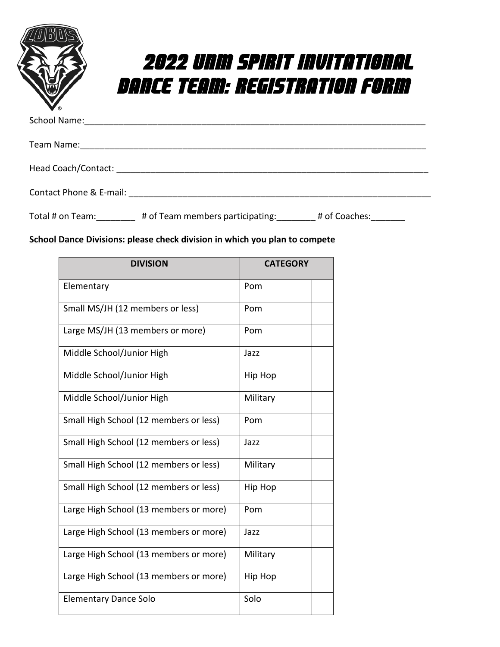

# 2022 UNM Spirit Invitational DANCE TEAM: Registration Form

|                       | Contact Phone & E-mail: 2000 2000 2000 2010 2010 2010 2011 |               |  |
|-----------------------|------------------------------------------------------------|---------------|--|
| Total # on Team: 1997 | # of Team members participating:                           | # of Coaches: |  |

#### **School Dance Divisions: please check division in which you plan to compete**

| <b>DIVISION</b>                        | <b>CATEGORY</b> |
|----------------------------------------|-----------------|
| Elementary                             | Pom             |
| Small MS/JH (12 members or less)       | Pom             |
| Large MS/JH (13 members or more)       | Pom             |
| Middle School/Junior High              | Jazz            |
| Middle School/Junior High              | Hip Hop         |
| Middle School/Junior High              | Military        |
| Small High School (12 members or less) | Pom             |
| Small High School (12 members or less) | Jazz            |
| Small High School (12 members or less) | Military        |
| Small High School (12 members or less) | Hip Hop         |
| Large High School (13 members or more) | Pom             |
| Large High School (13 members or more) | Jazz            |
| Large High School (13 members or more) | Military        |
| Large High School (13 members or more) | Hip Hop         |
| <b>Elementary Dance Solo</b>           | Solo            |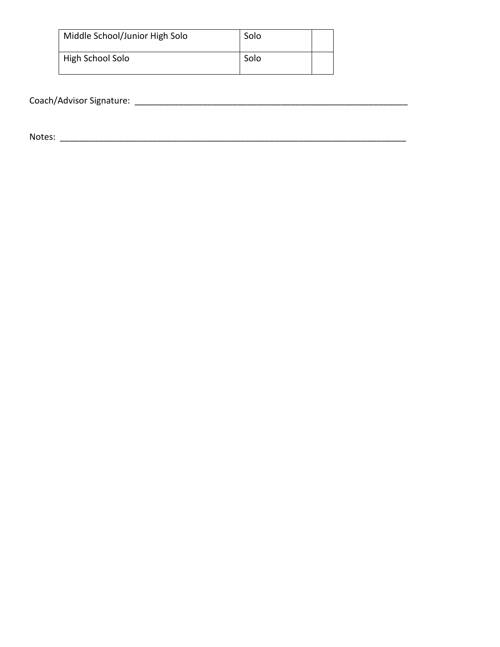| Middle School/Junior High Solo | Solo |  |
|--------------------------------|------|--|
| High School Solo               | Solo |  |

Coach/Advisor Signature: \_\_\_\_\_\_\_\_\_\_\_\_\_\_\_\_\_\_\_\_\_\_\_\_\_\_\_\_\_\_\_\_\_\_\_\_\_\_\_\_\_\_\_\_\_\_\_\_\_\_\_\_\_\_\_\_

Notes: \_\_\_\_\_\_\_\_\_\_\_\_\_\_\_\_\_\_\_\_\_\_\_\_\_\_\_\_\_\_\_\_\_\_\_\_\_\_\_\_\_\_\_\_\_\_\_\_\_\_\_\_\_\_\_\_\_\_\_\_\_\_\_\_\_\_\_\_\_\_\_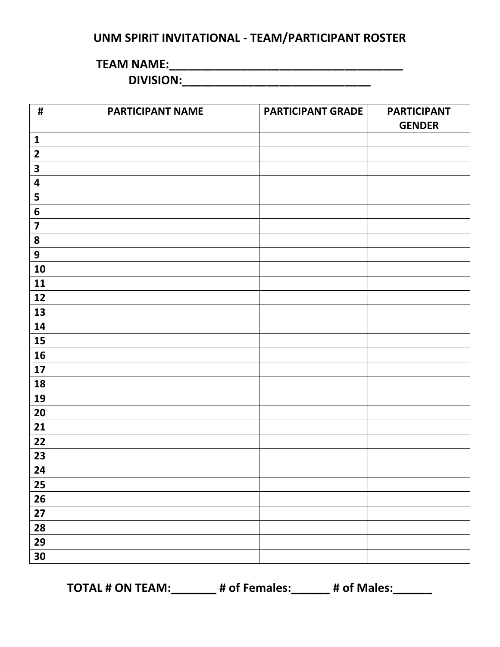#### **UNM SPIRIT INVITATIONAL - TEAM/PARTICIPANT ROSTER**

## **TEAM NAME:\_\_\_\_\_\_\_\_\_\_\_\_\_\_\_\_\_\_\_\_\_\_\_\_\_\_\_\_\_\_\_\_\_\_\_\_**

**DIVISION:\_\_\_\_\_\_\_\_\_\_\_\_\_\_\_\_\_\_\_\_\_\_\_\_\_\_\_\_\_**

| $\pmb{\sharp}$          | <b>PARTICIPANT NAME</b> | PARTICIPANT GRADE | <b>PARTICIPANT</b><br><b>GENDER</b> |
|-------------------------|-------------------------|-------------------|-------------------------------------|
| $\mathbf{1}$            |                         |                   |                                     |
| $\overline{\mathbf{2}}$ |                         |                   |                                     |
| $\overline{\mathbf{3}}$ |                         |                   |                                     |
| $\overline{\mathbf{4}}$ |                         |                   |                                     |
| 5                       |                         |                   |                                     |
| $\boldsymbol{6}$        |                         |                   |                                     |
| $\overline{\mathbf{z}}$ |                         |                   |                                     |
| ${\bf 8}$               |                         |                   |                                     |
| $\boldsymbol{9}$        |                         |                   |                                     |
| 10                      |                         |                   |                                     |
| 11                      |                         |                   |                                     |
| 12                      |                         |                   |                                     |
| 13                      |                         |                   |                                     |
| 14                      |                         |                   |                                     |
| 15                      |                         |                   |                                     |
| 16                      |                         |                   |                                     |
| 17                      |                         |                   |                                     |
| 18                      |                         |                   |                                     |
| 19                      |                         |                   |                                     |
| 20                      |                         |                   |                                     |
| 21                      |                         |                   |                                     |
| 22                      |                         |                   |                                     |
| 23                      |                         |                   |                                     |
| 24                      |                         |                   |                                     |
| 25                      |                         |                   |                                     |
| 26                      |                         |                   |                                     |
| 27                      |                         |                   |                                     |
| 28                      |                         |                   |                                     |
| 29                      |                         |                   |                                     |
| 30                      |                         |                   |                                     |

**TOTAL # ON TEAM:\_\_\_\_\_\_\_ # of Females:\_\_\_\_\_\_ # of Males:\_\_\_\_\_\_**